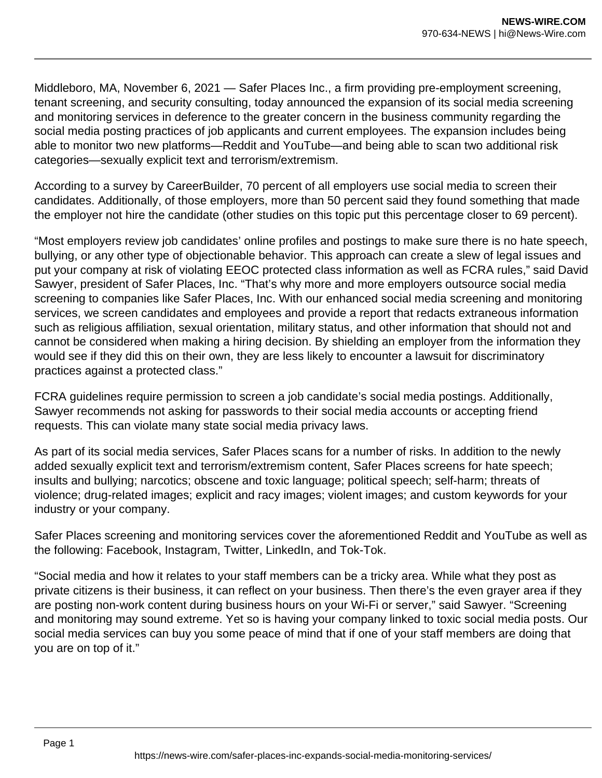Middleboro, MA, November 6, 2021 — Safer Places Inc., a firm providing pre-employment screening, tenant screening, and security consulting, today announced the expansion of its social media screening and monitoring services in deference to the greater concern in the business community regarding the social media posting practices of job applicants and current employees. The expansion includes being able to monitor two new platforms—Reddit and YouTube—and being able to scan two additional risk categories—sexually explicit text and terrorism/extremism.

According to a survey by CareerBuilder, 70 percent of all employers use social media to screen their candidates. Additionally, of those employers, more than 50 percent said they found something that made the employer not hire the candidate (other studies on this topic put this percentage closer to 69 percent).

"Most employers review job candidates' online profiles and postings to make sure there is no hate speech, bullying, or any other type of objectionable behavior. This approach can create a slew of legal issues and put your company at risk of violating EEOC protected class information as well as FCRA rules," said David Sawyer, president of Safer Places, Inc. "That's why more and more employers outsource social media screening to companies like Safer Places, Inc. With our enhanced social media screening and monitoring services, we screen candidates and employees and provide a report that redacts extraneous information such as religious affiliation, sexual orientation, military status, and other information that should not and cannot be considered when making a hiring decision. By shielding an employer from the information they would see if they did this on their own, they are less likely to encounter a lawsuit for discriminatory practices against a protected class."

FCRA guidelines require permission to screen a job candidate's social media postings. Additionally, Sawyer recommends not asking for passwords to their social media accounts or accepting friend requests. This can violate many state social media privacy laws.

As part of its social media services, Safer Places scans for a number of risks. In addition to the newly added sexually explicit text and terrorism/extremism content, Safer Places screens for hate speech; insults and bullying; narcotics; obscene and toxic language; political speech; self-harm; threats of violence; drug-related images; explicit and racy images; violent images; and custom keywords for your industry or your company.

Safer Places screening and monitoring services cover the aforementioned Reddit and YouTube as well as the following: Facebook, Instagram, Twitter, LinkedIn, and Tok-Tok.

"Social media and how it relates to your staff members can be a tricky area. While what they post as private citizens is their business, it can reflect on your business. Then there's the even grayer area if they are posting non-work content during business hours on your Wi-Fi or server," said Sawyer. "Screening and monitoring may sound extreme. Yet so is having your company linked to toxic social media posts. Our social media services can buy you some peace of mind that if one of your staff members are doing that you are on top of it."